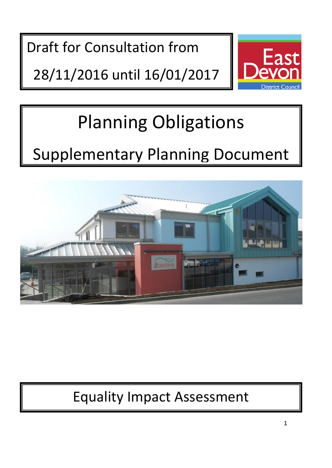Draft for Consultation from

28/11/2016 until 16/01/2017



# Planning Obligations

# Supplementary Planning Document



# Equality Impact Assessment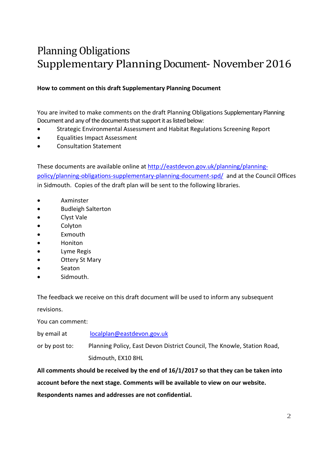# Planning Obligations Supplementary Planning Document- November 2016

### **How to comment on this draft Supplementary Planning Document**

You are invited to make comments on the draft Planning Obligations Supplementary Planning Document and any of the documents that support it as listed below:

- Strategic Environmental Assessment and Habitat Regulations Screening Report
- Equalities Impact Assessment
- Consultation Statement

These documents are available online at [http://eastdevon.gov.uk/planning/planning](http://eastdevon.gov.uk/planning/planning-policy/planning-obligations-supplementary-planning-document-spd/)[policy/planning-obligations-supplementary-planning-document-spd/](http://eastdevon.gov.uk/planning/planning-policy/planning-obligations-supplementary-planning-document-spd/) and at the Council Offices in Sidmouth. Copies of the draft plan will be sent to the following libraries.

- Axminster
- Budleigh Salterton
- Clyst Vale
- **Colyton**
- **Exmouth**
- Honiton
- Lyme Regis
- **Ottery St Mary**
- **Seaton**
- Sidmouth.

The feedback we receive on this draft document will be used to inform any subsequent

revisions.

You can comment:

by email at [localplan@eastdevon.gov.uk](mailto:localplan@eastdevon.gov.uk)

or by post to: Planning Policy, East Devon District Council, The Knowle, Station Road, Sidmouth, EX10 8HL

**All comments should be received by the end of 16/1/2017 so that they can be taken into account before the next stage. Comments will be available to view on our website. Respondents names and addresses are not confidential.**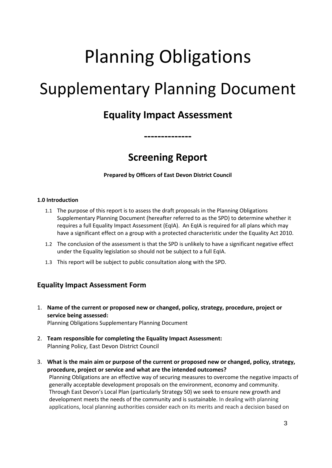# Planning Obligations Supplementary Planning Document

## **Equality Impact Assessment**

## **Screening Report**

**--------------**

**Prepared by Officers of East Devon District Council**

#### **1.0 Introduction**

- 1.1 The purpose of this report is to assess the draft proposals in the Planning Obligations Supplementary Planning Document (hereafter referred to as the SPD) to determine whether it requires a full Equality Impact Assessment (EqIA). An EqIA is required for all plans which may have a significant effect on a group with a protected characteristic under the Equality Act 2010.
- 1.2 The conclusion of the assessment is that the SPD is unlikely to have a significant negative effect under the Equality legislation so should not be subject to a full EqIA.
- 1.3 This report will be subject to public consultation along with the SPD.

## **Equality Impact Assessment Form**

- 1. **Name of the current or proposed new or changed, policy, strategy, procedure, project or service being assessed:**  Planning Obligations Supplementary Planning Document
	-
- 2. **Team responsible for completing the Equality Impact Assessment:**  Planning Policy, East Devon District Council
- 3. **What is the main aim or purpose of the current or proposed new or changed, policy, strategy, procedure, project or service and what are the intended outcomes?**  Planning Obligations are an effective way of securing measures to overcome the negative impacts of generally acceptable development proposals on the environment, economy and community. Through East Devon's Local Plan (particularly Strategy 50) we seek to ensure new growth and development meets the needs of the community and is sustainable. In dealing with planning applications, local planning authorities consider each on its merits and reach a decision based on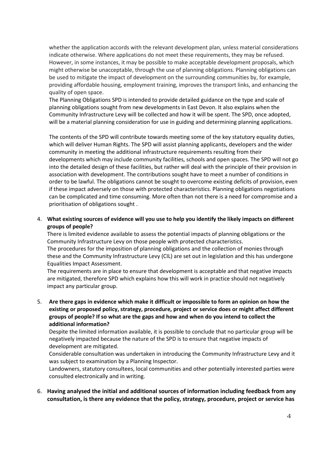whether the application accords with the relevant development plan, unless material considerations indicate otherwise. Where applications do not meet these requirements, they may be refused. However, in some instances, it may be possible to make acceptable development proposals, which might otherwise be unacceptable, through the use of planning obligations. Planning obligations can be used to mitigate the impact of development on the surrounding communities by, for example, providing affordable housing, employment training, improves the transport links, and enhancing the quality of open space.

The Planning Obligations SPD is intended to provide detailed guidance on the type and scale of planning obligations sought from new developments in East Devon. It also explains when the Community Infrastructure Levy will be collected and how it will be spent. The SPD, once adopted, will be a material planning consideration for use in guiding and determining planning applications.

The contents of the SPD will contribute towards meeting some of the key statutory equality duties, which will deliver Human Rights. The SPD will assist planning applicants, developers and the wider community in meeting the additional infrastructure requirements resulting from their developments which may include community facilities, schools and open spaces. The SPD will not go into the detailed design of these facilities, but rather will deal with the principle of their provision in association with development. The contributions sought have to meet a number of conditions in order to be lawful. The obligations cannot be sought to overcome existing deficits of provision, even if these impact adversely on those with protected characteristics. Planning obligations negotiations can be complicated and time consuming. More often than not there is a need for compromise and a prioritisation of obligations sought .

4. **What existing sources of evidence will you use to help you identify the likely impacts on different groups of people?**

There is limited evidence available to assess the potential impacts of planning obligations or the Community Infrastructure Levy on those people with protected characteristics. The procedures for the imposition of planning obligations and the collection of monies through these and the Community Infrastructure Levy (CIL) are set out in legislation and this has undergone Equalities Impact Assessment.

The requirements are in place to ensure that development is acceptable and that negative impacts are mitigated, therefore SPD which explains how this will work in practice should not negatively impact any particular group.

5. **Are there gaps in evidence which make it difficult or impossible to form an opinion on how the existing or proposed policy, strategy, procedure, project or service does or might affect different groups of people? If so what are the gaps and how and when do you intend to collect the additional information?**

Despite the limited information available, it is possible to conclude that no particular group will be negatively impacted because the nature of the SPD is to ensure that negative impacts of development are mitigated.

Considerable consultation was undertaken in introducing the Community Infrastructure Levy and it was subject to examination by a Planning Inspector.

Landowners, statutory consultees, local communities and other potentially interested parties were consulted electronically and in writing.

6. **Having analysed the initial and additional sources of information including feedback from any consultation, is there any evidence that the policy, strategy, procedure, project or service has**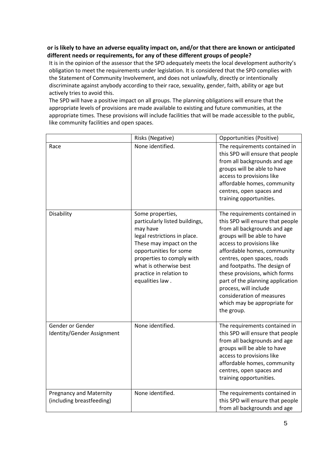#### **or is likely to have an adverse equality impact on, and/or that there are known or anticipated different needs or requirements, for any of these different groups of people?**

It is in the opinion of the assessor that the SPD adequately meets the local development authority's obligation to meet the requirements under legislation. It is considered that the SPD complies with the Statement of Community Involvement, and does not unlawfully, directly or intentionally discriminate against anybody according to their race, sexuality, gender, faith, ability or age but actively tries to avoid this.

The SPD will have a positive impact on all groups. The planning obligations will ensure that the appropriate levels of provisions are made available to existing and future communities, at the appropriate times. These provisions will include facilities that will be made accessible to the public, like community facilities and open spaces.

|                                                             | Risks (Negative)                                                                                                                                                                                                                                         | <b>Opportunities (Positive)</b>                                                                                                                                                                                                                                                                                                                                                                                                      |
|-------------------------------------------------------------|----------------------------------------------------------------------------------------------------------------------------------------------------------------------------------------------------------------------------------------------------------|--------------------------------------------------------------------------------------------------------------------------------------------------------------------------------------------------------------------------------------------------------------------------------------------------------------------------------------------------------------------------------------------------------------------------------------|
| Race                                                        | None identified.                                                                                                                                                                                                                                         | The requirements contained in<br>this SPD will ensure that people<br>from all backgrounds and age<br>groups will be able to have<br>access to provisions like<br>affordable homes, community<br>centres, open spaces and<br>training opportunities.                                                                                                                                                                                  |
| Disability                                                  | Some properties,<br>particularly listed buildings,<br>may have<br>legal restrictions in place.<br>These may impact on the<br>opportunities for some<br>properties to comply with<br>what is otherwise best<br>practice in relation to<br>equalities law. | The requirements contained in<br>this SPD will ensure that people<br>from all backgrounds and age<br>groups will be able to have<br>access to provisions like<br>affordable homes, community<br>centres, open spaces, roads<br>and footpaths. The design of<br>these provisions, which forms<br>part of the planning application<br>process, will include<br>consideration of measures<br>which may be appropriate for<br>the group. |
| Gender or Gender<br>Identity/Gender Assignment              | None identified.                                                                                                                                                                                                                                         | The requirements contained in<br>this SPD will ensure that people<br>from all backgrounds and age<br>groups will be able to have<br>access to provisions like<br>affordable homes, community<br>centres, open spaces and<br>training opportunities.                                                                                                                                                                                  |
| <b>Pregnancy and Maternity</b><br>(including breastfeeding) | None identified.                                                                                                                                                                                                                                         | The requirements contained in<br>this SPD will ensure that people<br>from all backgrounds and age                                                                                                                                                                                                                                                                                                                                    |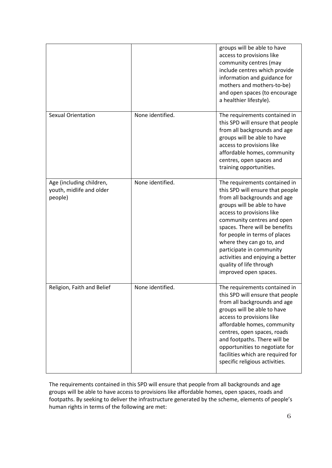|                                                                 |                  | groups will be able to have<br>access to provisions like<br>community centres (may<br>include centres which provide<br>information and guidance for<br>mothers and mothers-to-be)<br>and open spaces (to encourage<br>a healthier lifestyle).                                                                                                                                                                   |
|-----------------------------------------------------------------|------------------|-----------------------------------------------------------------------------------------------------------------------------------------------------------------------------------------------------------------------------------------------------------------------------------------------------------------------------------------------------------------------------------------------------------------|
| <b>Sexual Orientation</b>                                       | None identified. | The requirements contained in<br>this SPD will ensure that people<br>from all backgrounds and age<br>groups will be able to have<br>access to provisions like<br>affordable homes, community<br>centres, open spaces and<br>training opportunities.                                                                                                                                                             |
| Age (including children,<br>youth, midlife and older<br>people) | None identified. | The requirements contained in<br>this SPD will ensure that people<br>from all backgrounds and age<br>groups will be able to have<br>access to provisions like<br>community centres and open<br>spaces. There will be benefits<br>for people in terms of places<br>where they can go to, and<br>participate in community<br>activities and enjoying a better<br>quality of life through<br>improved open spaces. |
| Religion, Faith and Belief                                      | None identified. | The requirements contained in<br>this SPD will ensure that people<br>from all backgrounds and age<br>groups will be able to have<br>access to provisions like<br>affordable homes, community<br>centres, open spaces, roads<br>and footpaths. There will be<br>opportunities to negotiate for<br>facilities which are required for<br>specific religious activities.                                            |

The requirements contained in this SPD will ensure that people from all backgrounds and age groups will be able to have access to provisions like affordable homes, open spaces, roads and footpaths. By seeking to deliver the infrastructure generated by the scheme, elements of people's human rights in terms of the following are met: